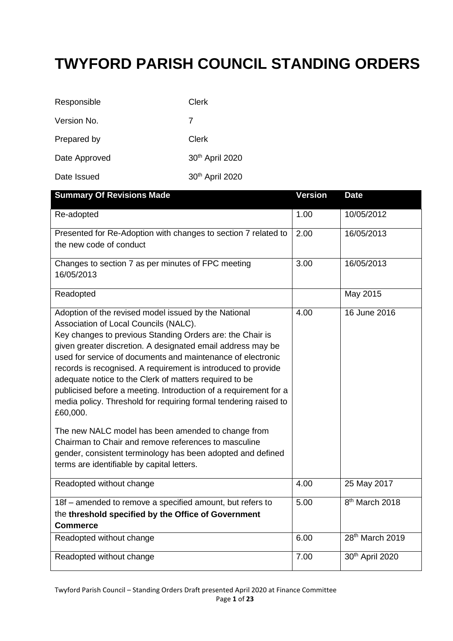### **TWYFORD PARISH COUNCIL STANDING ORDERS**

| Responsible   | Clerk           |
|---------------|-----------------|
| Version No.   | 7               |
| Prepared by   | Clerk           |
| Date Approved | 30th April 2020 |
| Date Issued   | 30th April 2020 |

| <b>Summary Of Revisions Made</b>                                                                                                                                                                                                                                                                                                                                                                                                                                                                                                                                                                                                                                                                                                                                                                   | <b>Version</b> | <b>Date</b>                 |
|----------------------------------------------------------------------------------------------------------------------------------------------------------------------------------------------------------------------------------------------------------------------------------------------------------------------------------------------------------------------------------------------------------------------------------------------------------------------------------------------------------------------------------------------------------------------------------------------------------------------------------------------------------------------------------------------------------------------------------------------------------------------------------------------------|----------------|-----------------------------|
| Re-adopted                                                                                                                                                                                                                                                                                                                                                                                                                                                                                                                                                                                                                                                                                                                                                                                         | 1.00           | 10/05/2012                  |
| Presented for Re-Adoption with changes to section 7 related to<br>the new code of conduct                                                                                                                                                                                                                                                                                                                                                                                                                                                                                                                                                                                                                                                                                                          | 2.00           | 16/05/2013                  |
| Changes to section 7 as per minutes of FPC meeting<br>16/05/2013                                                                                                                                                                                                                                                                                                                                                                                                                                                                                                                                                                                                                                                                                                                                   | 3.00           | 16/05/2013                  |
| Readopted                                                                                                                                                                                                                                                                                                                                                                                                                                                                                                                                                                                                                                                                                                                                                                                          |                | May 2015                    |
| Adoption of the revised model issued by the National<br>Association of Local Councils (NALC).<br>Key changes to previous Standing Orders are: the Chair is<br>given greater discretion. A designated email address may be<br>used for service of documents and maintenance of electronic<br>records is recognised. A requirement is introduced to provide<br>adequate notice to the Clerk of matters required to be<br>publicised before a meeting. Introduction of a requirement for a<br>media policy. Threshold for requiring formal tendering raised to<br>£60,000.<br>The new NALC model has been amended to change from<br>Chairman to Chair and remove references to masculine<br>gender, consistent terminology has been adopted and defined<br>terms are identifiable by capital letters. | 4.00           | 16 June 2016                |
| Readopted without change                                                                                                                                                                                                                                                                                                                                                                                                                                                                                                                                                                                                                                                                                                                                                                           | 4.00           | 25 May 2017                 |
| 18f - amended to remove a specified amount, but refers to                                                                                                                                                                                                                                                                                                                                                                                                                                                                                                                                                                                                                                                                                                                                          | 5.00           | 8 <sup>th</sup> March 2018  |
| the threshold specified by the Office of Government                                                                                                                                                                                                                                                                                                                                                                                                                                                                                                                                                                                                                                                                                                                                                |                |                             |
| <b>Commerce</b>                                                                                                                                                                                                                                                                                                                                                                                                                                                                                                                                                                                                                                                                                                                                                                                    | 6.00           | 28 <sup>th</sup> March 2019 |
| Readopted without change                                                                                                                                                                                                                                                                                                                                                                                                                                                                                                                                                                                                                                                                                                                                                                           |                |                             |
| Readopted without change                                                                                                                                                                                                                                                                                                                                                                                                                                                                                                                                                                                                                                                                                                                                                                           | 7.00           | 30th April 2020             |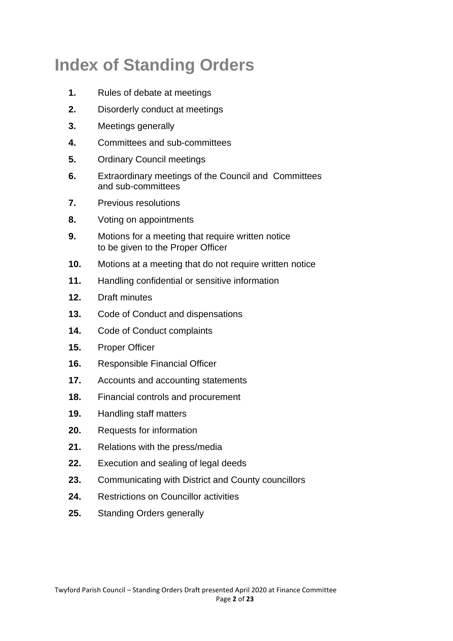# **Index of Standing Orders**

- **1.** Rules of debate at meetings
- **2.** Disorderly conduct at meetings
- **3.** Meetings generally
- **4.** Committees and sub-committees
- **5.** Ordinary Council meetings
- **6.** Extraordinary meetings of the Council and Committees and sub-committees
- **7.** Previous resolutions
- **8.** Voting on appointments
- **9.** Motions for a meeting that require written notice to be given to the Proper Officer
- **10.** Motions at a meeting that do not require written notice
- **11.** Handling confidential or sensitive information
- **12.** Draft minutes
- **13.** Code of Conduct and dispensations
- **14.** Code of Conduct complaints
- **15.** Proper Officer
- **16.** Responsible Financial Officer
- **17.** Accounts and accounting statements
- **18.** Financial controls and procurement
- **19.** Handling staff matters
- **20.** Requests for information
- **21.** Relations with the press/media
- 22. Execution and sealing of legal deeds
- **23.** Communicating with District and County councillors
- **24.** Restrictions on Councillor activities
- **25.** Standing Orders generally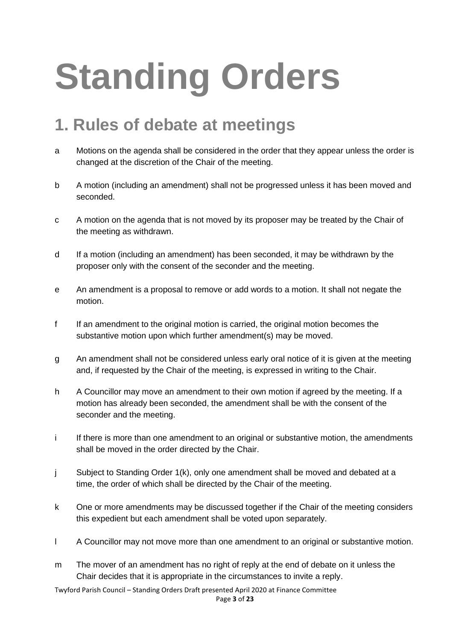# **Standing Orders**

### **1. Rules of debate at meetings**

- a Motions on the agenda shall be considered in the order that they appear unless the order is changed at the discretion of the Chair of the meeting.
- b A motion (including an amendment) shall not be progressed unless it has been moved and seconded.
- c A motion on the agenda that is not moved by its proposer may be treated by the Chair of the meeting as withdrawn.
- d If a motion (including an amendment) has been seconded, it may be withdrawn by the proposer only with the consent of the seconder and the meeting.
- e An amendment is a proposal to remove or add words to a motion. It shall not negate the motion.
- f If an amendment to the original motion is carried, the original motion becomes the substantive motion upon which further amendment(s) may be moved.
- g An amendment shall not be considered unless early oral notice of it is given at the meeting and, if requested by the Chair of the meeting, is expressed in writing to the Chair.
- h A Councillor may move an amendment to their own motion if agreed by the meeting. If a motion has already been seconded, the amendment shall be with the consent of the seconder and the meeting.
- i If there is more than one amendment to an original or substantive motion, the amendments shall be moved in the order directed by the Chair.
- j Subject to Standing Order 1(k), only one amendment shall be moved and debated at a time, the order of which shall be directed by the Chair of the meeting.
- k One or more amendments may be discussed together if the Chair of the meeting considers this expedient but each amendment shall be voted upon separately.
- l A Councillor may not move more than one amendment to an original or substantive motion.
- m The mover of an amendment has no right of reply at the end of debate on it unless the Chair decides that it is appropriate in the circumstances to invite a reply.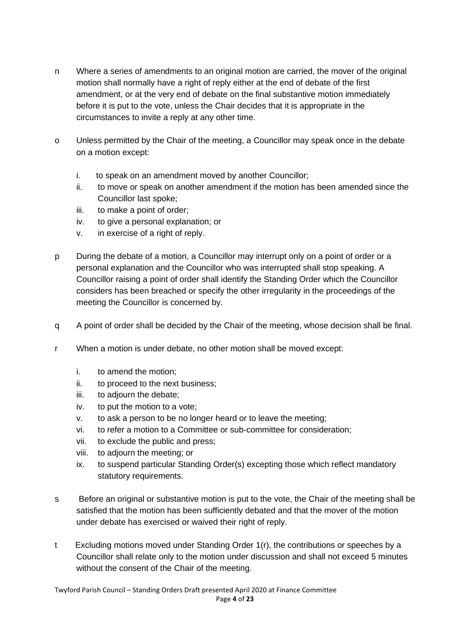- n Where a series of amendments to an original motion are carried, the mover of the original motion shall normally have a right of reply either at the end of debate of the first amendment, or at the very end of debate on the final substantive motion immediately before it is put to the vote, unless the Chair decides that it is appropriate in the circumstances to invite a reply at any other time.
- o Unless permitted by the Chair of the meeting, a Councillor may speak once in the debate on a motion except:
	- i. to speak on an amendment moved by another Councillor;
	- ii. to move or speak on another amendment if the motion has been amended since the Councillor last spoke;
	- iii. to make a point of order;
	- iv. to give a personal explanation; or
	- v. in exercise of a right of reply.
- p During the debate of a motion, a Councillor may interrupt only on a point of order or a personal explanation and the Councillor who was interrupted shall stop speaking. A Councillor raising a point of order shall identify the Standing Order which the Councillor considers has been breached or specify the other irregularity in the proceedings of the meeting the Councillor is concerned by.
- q A point of order shall be decided by the Chair of the meeting, whose decision shall be final.
- r When a motion is under debate, no other motion shall be moved except:
	- i. to amend the motion;
	- ii. to proceed to the next business;
	- iii. to adjourn the debate;
	- iv. to put the motion to a vote;
	- v. to ask a person to be no longer heard or to leave the meeting;
	- vi. to refer a motion to a Committee or sub-committee for consideration;
	- vii. to exclude the public and press;
	- viii. to adjourn the meeting; or
	- ix. to suspend particular Standing Order(s) excepting those which reflect mandatory statutory requirements.
- s Before an original or substantive motion is put to the vote, the Chair of the meeting shall be satisfied that the motion has been sufficiently debated and that the mover of the motion under debate has exercised or waived their right of reply.
- t Excluding motions moved under Standing Order 1(r), the contributions or speeches by a Councillor shall relate only to the motion under discussion and shall not exceed 5 minutes without the consent of the Chair of the meeting.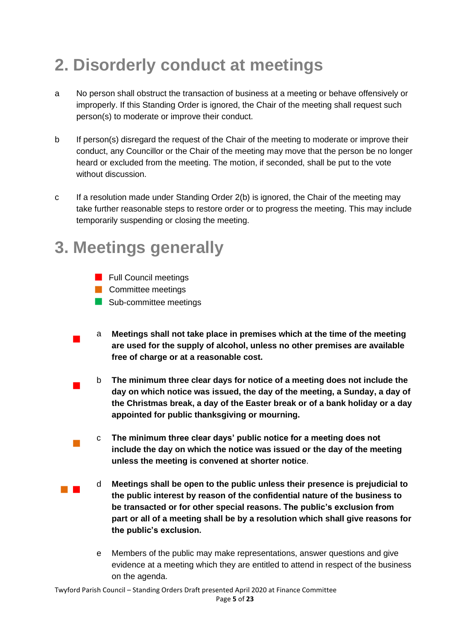# **2. Disorderly conduct at meetings**

- a No person shall obstruct the transaction of business at a meeting or behave offensively or improperly. If this Standing Order is ignored, the Chair of the meeting shall request such person(s) to moderate or improve their conduct.
- b If person(s) disregard the request of the Chair of the meeting to moderate or improve their conduct, any Councillor or the Chair of the meeting may move that the person be no longer heard or excluded from the meeting. The motion, if seconded, shall be put to the vote without discussion.
- c If a resolution made under Standing Order 2(b) is ignored, the Chair of the meeting may take further reasonable steps to restore order or to progress the meeting. This may include temporarily suspending or closing the meeting.

### **3. Meetings generally**

- **Full Council meetings**
- **Committee meetings**
- Sub-committee meetings
- $\mathcal{L}_{\mathcal{A}}$ a **Meetings shall not take place in premises which at the time of the meeting are used for the supply of alcohol, unless no other premises are available free of charge or at a reasonable cost.**
- $\mathcal{L}_{\mathcal{A}}$ b **The minimum three clear days for notice of a meeting does not include the day on which notice was issued, the day of the meeting, a Sunday, a day of the Christmas break, a day of the Easter break or of a bank holiday or a day appointed for public thanksgiving or mourning.**
- $\mathcal{L}_{\mathcal{A}}$ c **The minimum three clear days' public notice for a meeting does not include the day on which the notice was issued or the day of the meeting unless the meeting is convened at shorter notice**.
- **The Contract** d **Meetings shall be open to the public unless their presence is prejudicial to the public interest by reason of the confidential nature of the business to be transacted or for other special reasons. The public's exclusion from part or all of a meeting shall be by a resolution which shall give reasons for the public's exclusion.**
	- e Members of the public may make representations, answer questions and give evidence at a meeting which they are entitled to attend in respect of the business on the agenda.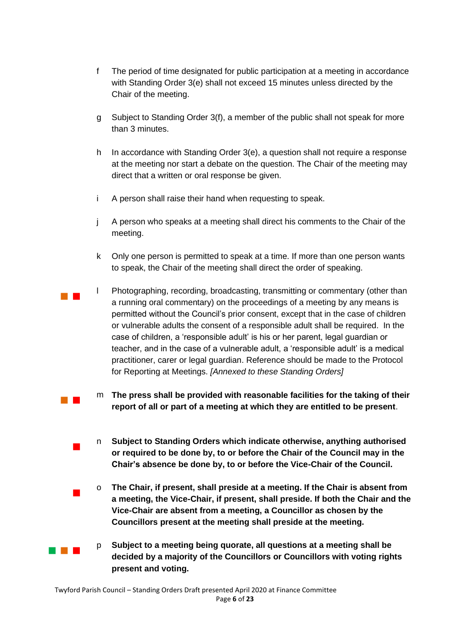- f The period of time designated for public participation at a meeting in accordance with Standing Order 3(e) shall not exceed 15 minutes unless directed by the Chair of the meeting.
- g Subject to Standing Order 3(f), a member of the public shall not speak for more than 3 minutes.
- h In accordance with Standing Order 3(e), a question shall not require a response at the meeting nor start a debate on the question. The Chair of the meeting may direct that a written or oral response be given.
- i A person shall raise their hand when requesting to speak.
- j A person who speaks at a meeting shall direct his comments to the Chair of the meeting.
- k Only one person is permitted to speak at a time. If more than one person wants to speak, the Chair of the meeting shall direct the order of speaking.
- $\mathcal{L}_{\mathcal{A}}$ l Photographing, recording, broadcasting, transmitting or commentary (other than a running oral commentary) on the proceedings of a meeting by any means is permitted without the Council's prior consent, except that in the case of children or vulnerable adults the consent of a responsible adult shall be required. In the case of children, a 'responsible adult' is his or her parent, legal guardian or teacher, and in the case of a vulnerable adult, a 'responsible adult' is a medical practitioner, carer or legal guardian. Reference should be made to the Protocol for Reporting at Meetings. *[Annexed to these Standing Orders]*
	- m **The press shall be provided with reasonable facilities for the taking of their report of all or part of a meeting at which they are entitled to be present**.
	- n **Subject to Standing Orders which indicate otherwise, anything authorised or required to be done by, to or before the Chair of the Council may in the Chair's absence be done by, to or before the Vice-Chair of the Council.**
	- o **The Chair, if present, shall preside at a meeting. If the Chair is absent from a meeting, the Vice-Chair, if present, shall preside. If both the Chair and the Vice-Chair are absent from a meeting, a Councillor as chosen by the Councillors present at the meeting shall preside at the meeting.**
	- p **Subject to a meeting being quorate, all questions at a meeting shall be decided by a majority of the Councillors or Councillors with voting rights present and voting.**

 $\mathcal{L}_{\text{max}}$ 

 $\mathcal{L}_{\mathcal{A}}$ 

 $\mathcal{L}_{\mathcal{A}}$ 

and the first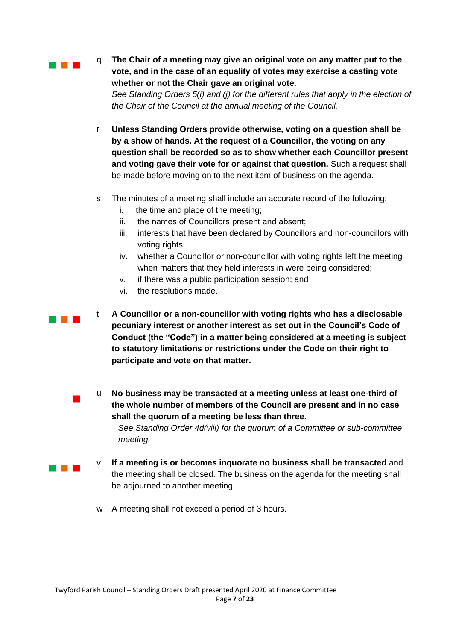a a shekara

**The Common** 

 $\blacksquare$ 

**The Contract** 

q **The Chair of a meeting may give an original vote on any matter put to the vote, and in the case of an equality of votes may exercise a casting vote whether or not the Chair gave an original vote.** *See Standing Orders 5(i) and (j) for the different rules that apply in the election of the Chair of the Council at the annual meeting of the Council.*

- r **Unless Standing Orders provide otherwise, voting on a question shall be by a show of hands. At the request of a Councillor, the voting on any question shall be recorded so as to show whether each Councillor present and voting gave their vote for or against that question.** Such a request shall be made before moving on to the next item of business on the agenda.
- s The minutes of a meeting shall include an accurate record of the following:
	- i. the time and place of the meeting;
	- ii. the names of Councillors present and absent;
	- iii. interests that have been declared by Councillors and non-councillors with voting rights;
	- iv. whether a Councillor or non-councillor with voting rights left the meeting when matters that they held interests in were being considered;
	- v. if there was a public participation session; and
	- vi. the resolutions made.

t **A Councillor or a non-councillor with voting rights who has a disclosable pecuniary interest or another interest as set out in the Council's Code of Conduct (the "Code") in a matter being considered at a meeting is subject to statutory limitations or restrictions under the Code on their right to participate and vote on that matter.**

- u **No business may be transacted at a meeting unless at least one-third of the whole number of members of the Council are present and in no case shall the quorum of a meeting be less than three.** *See Standing Order 4d(viii) for the quorum of a Committee or sub-committee meeting.*
- v **If a meeting is or becomes inquorate no business shall be transacted** and the meeting shall be closed. The business on the agenda for the meeting shall be adjourned to another meeting.
	- w A meeting shall not exceed a period of 3 hours.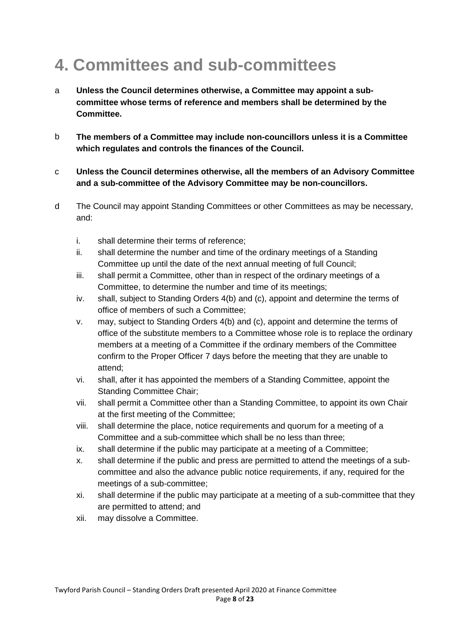# **4. Committees and sub-committees**

- a **Unless the Council determines otherwise, a Committee may appoint a subcommittee whose terms of reference and members shall be determined by the Committee.**
- b **The members of a Committee may include non-councillors unless it is a Committee which regulates and controls the finances of the Council.**
- c **Unless the Council determines otherwise, all the members of an Advisory Committee and a sub-committee of the Advisory Committee may be non-councillors.**
- d The Council may appoint Standing Committees or other Committees as may be necessary, and:
	- i. shall determine their terms of reference;
	- ii. shall determine the number and time of the ordinary meetings of a Standing Committee up until the date of the next annual meeting of full Council;
	- iii. shall permit a Committee, other than in respect of the ordinary meetings of a Committee, to determine the number and time of its meetings;
	- iv. shall, subject to Standing Orders 4(b) and (c), appoint and determine the terms of office of members of such a Committee;
	- v. may, subject to Standing Orders 4(b) and (c), appoint and determine the terms of office of the substitute members to a Committee whose role is to replace the ordinary members at a meeting of a Committee if the ordinary members of the Committee confirm to the Proper Officer 7 days before the meeting that they are unable to attend;
	- vi. shall, after it has appointed the members of a Standing Committee, appoint the Standing Committee Chair;
	- vii. shall permit a Committee other than a Standing Committee, to appoint its own Chair at the first meeting of the Committee;
	- viii. shall determine the place, notice requirements and quorum for a meeting of a Committee and a sub-committee which shall be no less than three;
	- ix. shall determine if the public may participate at a meeting of a Committee;
	- x. shall determine if the public and press are permitted to attend the meetings of a subcommittee and also the advance public notice requirements, if any, required for the meetings of a sub-committee;
	- xi. shall determine if the public may participate at a meeting of a sub-committee that they are permitted to attend; and
	- xii. may dissolve a Committee.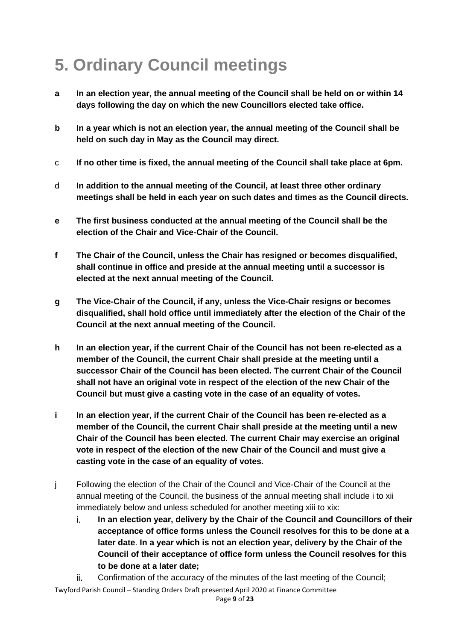# **5. Ordinary Council meetings**

- **a In an election year, the annual meeting of the Council shall be held on or within 14 days following the day on which the new Councillors elected take office.**
- **b In a year which is not an election year, the annual meeting of the Council shall be held on such day in May as the Council may direct.**
- c **If no other time is fixed, the annual meeting of the Council shall take place at 6pm.**
- d **In addition to the annual meeting of the Council, at least three other ordinary meetings shall be held in each year on such dates and times as the Council directs.**
- **e The first business conducted at the annual meeting of the Council shall be the election of the Chair and Vice-Chair of the Council.**
- **f The Chair of the Council, unless the Chair has resigned or becomes disqualified, shall continue in office and preside at the annual meeting until a successor is elected at the next annual meeting of the Council.**
- **g The Vice-Chair of the Council, if any, unless the Vice-Chair resigns or becomes disqualified, shall hold office until immediately after the election of the Chair of the Council at the next annual meeting of the Council.**
- **h In an election year, if the current Chair of the Council has not been re-elected as a member of the Council, the current Chair shall preside at the meeting until a successor Chair of the Council has been elected. The current Chair of the Council shall not have an original vote in respect of the election of the new Chair of the Council but must give a casting vote in the case of an equality of votes.**
- **i In an election year, if the current Chair of the Council has been re-elected as a member of the Council, the current Chair shall preside at the meeting until a new Chair of the Council has been elected. The current Chair may exercise an original vote in respect of the election of the new Chair of the Council and must give a casting vote in the case of an equality of votes.**
- j Following the election of the Chair of the Council and Vice-Chair of the Council at the annual meeting of the Council, the business of the annual meeting shall include i to xii immediately below and unless scheduled for another meeting xiii to xix:
	- i. **In an election year, delivery by the Chair of the Council and Councillors of their acceptance of office forms unless the Council resolves for this to be done at a later date**. **In a year which is not an election year, delivery by the Chair of the Council of their acceptance of office form unless the Council resolves for this to be done at a later date;**
	- ii. Confirmation of the accuracy of the minutes of the last meeting of the Council;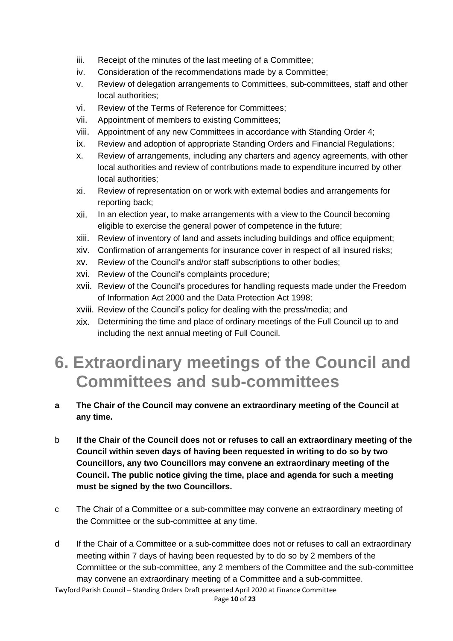- iii. Receipt of the minutes of the last meeting of a Committee;
- iv. Consideration of the recommendations made by a Committee;
- v. Review of delegation arrangements to Committees, sub-committees, staff and other local authorities;
- vi. Review of the Terms of Reference for Committees;
- vii. Appointment of members to existing Committees;
- viii. Appointment of any new Committees in accordance with Standing Order 4;
- ix. Review and adoption of appropriate Standing Orders and Financial Regulations;
- x. Review of arrangements, including any charters and agency agreements, with other local authorities and review of contributions made to expenditure incurred by other local authorities;
- xi. Review of representation on or work with external bodies and arrangements for reporting back;
- xii. In an election year, to make arrangements with a view to the Council becoming eligible to exercise the general power of competence in the future;
- xiii. Review of inventory of land and assets including buildings and office equipment;
- xiv. Confirmation of arrangements for insurance cover in respect of all insured risks;
- xv. Review of the Council's and/or staff subscriptions to other bodies;
- xvi. Review of the Council's complaints procedure;
- xvii. Review of the Council's procedures for handling requests made under the Freedom of Information Act 2000 and the Data Protection Act 1998;
- xviii. Review of the Council's policy for dealing with the press/media; and
- xix. Determining the time and place of ordinary meetings of the Full Council up to and including the next annual meeting of Full Council.

### **6. Extraordinary meetings of the Council and Committees and sub-committees**

- **a The Chair of the Council may convene an extraordinary meeting of the Council at any time.**
- b **If the Chair of the Council does not or refuses to call an extraordinary meeting of the Council within seven days of having been requested in writing to do so by two Councillors, any two Councillors may convene an extraordinary meeting of the Council. The public notice giving the time, place and agenda for such a meeting must be signed by the two Councillors.**
- c The Chair of a Committee or a sub-committee may convene an extraordinary meeting of the Committee or the sub-committee at any time.
- d If the Chair of a Committee or a sub-committee does not or refuses to call an extraordinary meeting within 7 days of having been requested by to do so by 2 members of the Committee or the sub-committee, any 2 members of the Committee and the sub-committee may convene an extraordinary meeting of a Committee and a sub-committee.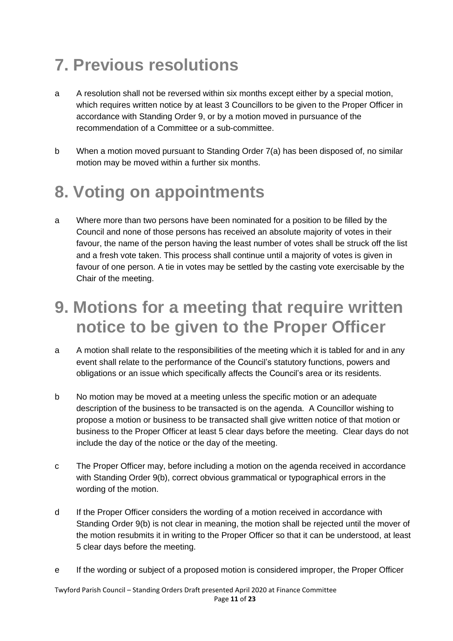# **7. Previous resolutions**

- a A resolution shall not be reversed within six months except either by a special motion, which requires written notice by at least 3 Councillors to be given to the Proper Officer in accordance with Standing Order 9, or by a motion moved in pursuance of the recommendation of a Committee or a sub-committee.
- b When a motion moved pursuant to Standing Order 7(a) has been disposed of, no similar motion may be moved within a further six months.

# **8. Voting on appointments**

a Where more than two persons have been nominated for a position to be filled by the Council and none of those persons has received an absolute majority of votes in their favour, the name of the person having the least number of votes shall be struck off the list and a fresh vote taken. This process shall continue until a majority of votes is given in favour of one person. A tie in votes may be settled by the casting vote exercisable by the Chair of the meeting.

#### **9. Motions for a meeting that require written notice to be given to the Proper Officer**

- a A motion shall relate to the responsibilities of the meeting which it is tabled for and in any event shall relate to the performance of the Council's statutory functions, powers and obligations or an issue which specifically affects the Council's area or its residents.
- b No motion may be moved at a meeting unless the specific motion or an adequate description of the business to be transacted is on the agenda. A Councillor wishing to propose a motion or business to be transacted shall give written notice of that motion or business to the Proper Officer at least 5 clear days before the meeting. Clear days do not include the day of the notice or the day of the meeting.
- c The Proper Officer may, before including a motion on the agenda received in accordance with Standing Order 9(b), correct obvious grammatical or typographical errors in the wording of the motion.
- d If the Proper Officer considers the wording of a motion received in accordance with Standing Order 9(b) is not clear in meaning, the motion shall be rejected until the mover of the motion resubmits it in writing to the Proper Officer so that it can be understood, at least 5 clear days before the meeting.
- e If the wording or subject of a proposed motion is considered improper, the Proper Officer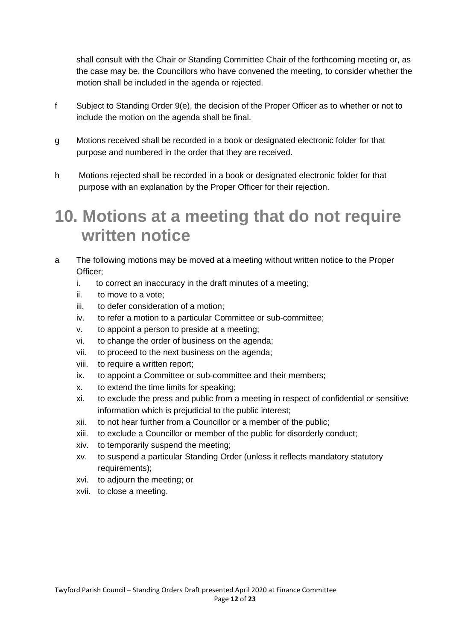shall consult with the Chair or Standing Committee Chair of the forthcoming meeting or, as the case may be, the Councillors who have convened the meeting, to consider whether the motion shall be included in the agenda or rejected.

- f Subject to Standing Order 9(e), the decision of the Proper Officer as to whether or not to include the motion on the agenda shall be final.
- g Motions received shall be recorded in a book or designated electronic folder for that purpose and numbered in the order that they are received.
- h Motions rejected shall be recorded in a book or designated electronic folder for that purpose with an explanation by the Proper Officer for their rejection.

#### **10. Motions at a meeting that do not require written notice**

- a The following motions may be moved at a meeting without written notice to the Proper Officer;
	- i. to correct an inaccuracy in the draft minutes of a meeting;
	- ii. to move to a vote;
	- iii. to defer consideration of a motion;
	- iv. to refer a motion to a particular Committee or sub-committee;
	- v. to appoint a person to preside at a meeting;
	- vi. to change the order of business on the agenda;
	- vii. to proceed to the next business on the agenda;
	- viii. to require a written report;
	- ix. to appoint a Committee or sub-committee and their members;
	- x. to extend the time limits for speaking;
	- xi. to exclude the press and public from a meeting in respect of confidential or sensitive information which is prejudicial to the public interest;
	- xii. to not hear further from a Councillor or a member of the public;
	- xiii. to exclude a Councillor or member of the public for disorderly conduct;
	- xiv. to temporarily suspend the meeting;
	- xv. to suspend a particular Standing Order (unless it reflects mandatory statutory requirements);
	- xvi. to adjourn the meeting; or
	- xvii. to close a meeting.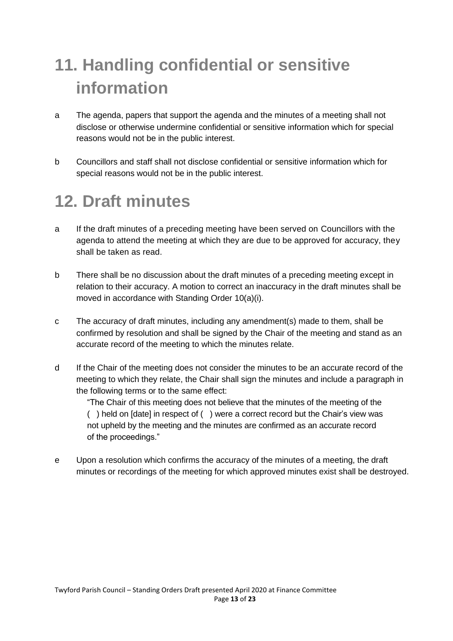# **11. Handling confidential or sensitive information**

- a The agenda, papers that support the agenda and the minutes of a meeting shall not disclose or otherwise undermine confidential or sensitive information which for special reasons would not be in the public interest.
- b Councillors and staff shall not disclose confidential or sensitive information which for special reasons would not be in the public interest.

### **12. Draft minutes**

- a If the draft minutes of a preceding meeting have been served on Councillors with the agenda to attend the meeting at which they are due to be approved for accuracy, they shall be taken as read.
- b There shall be no discussion about the draft minutes of a preceding meeting except in relation to their accuracy. A motion to correct an inaccuracy in the draft minutes shall be moved in accordance with Standing Order 10(a)(i).
- c The accuracy of draft minutes, including any amendment(s) made to them, shall be confirmed by resolution and shall be signed by the Chair of the meeting and stand as an accurate record of the meeting to which the minutes relate.
- d If the Chair of the meeting does not consider the minutes to be an accurate record of the meeting to which they relate, the Chair shall sign the minutes and include a paragraph in the following terms or to the same effect:

"The Chair of this meeting does not believe that the minutes of the meeting of the ( ) held on [date] in respect of ( ) were a correct record but the Chair's view was not upheld by the meeting and the minutes are confirmed as an accurate record of the proceedings."

e Upon a resolution which confirms the accuracy of the minutes of a meeting, the draft minutes or recordings of the meeting for which approved minutes exist shall be destroyed.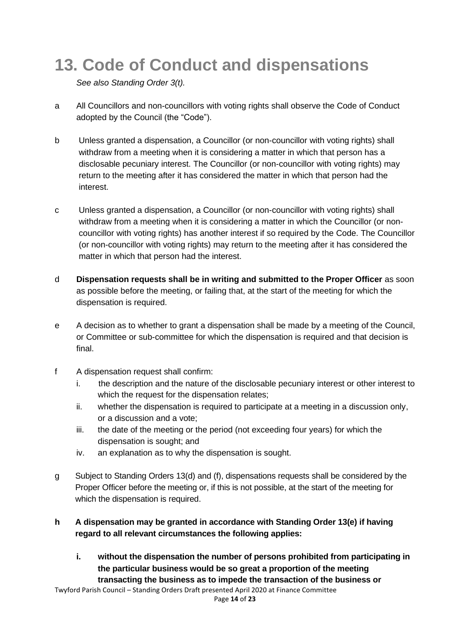## **13. Code of Conduct and dispensations**

*See also Standing Order 3(t).*

- a All Councillors and non-councillors with voting rights shall observe the Code of Conduct adopted by the Council (the "Code").
- b Unless granted a dispensation, a Councillor (or non-councillor with voting rights) shall withdraw from a meeting when it is considering a matter in which that person has a disclosable pecuniary interest. The Councillor (or non-councillor with voting rights) may return to the meeting after it has considered the matter in which that person had the interest.
- c Unless granted a dispensation, a Councillor (or non-councillor with voting rights) shall withdraw from a meeting when it is considering a matter in which the Councillor (or noncouncillor with voting rights) has another interest if so required by the Code. The Councillor (or non-councillor with voting rights) may return to the meeting after it has considered the matter in which that person had the interest.
- d **Dispensation requests shall be in writing and submitted to the Proper Officer** as soon as possible before the meeting, or failing that, at the start of the meeting for which the dispensation is required.
- e A decision as to whether to grant a dispensation shall be made by a meeting of the Council, or Committee or sub-committee for which the dispensation is required and that decision is final.
- f A dispensation request shall confirm:
	- i. the description and the nature of the disclosable pecuniary interest or other interest to which the request for the dispensation relates;
	- ii. whether the dispensation is required to participate at a meeting in a discussion only, or a discussion and a vote;
	- iii. the date of the meeting or the period (not exceeding four years) for which the dispensation is sought; and
	- iv. an explanation as to why the dispensation is sought.
- g Subject to Standing Orders 13(d) and (f), dispensations requests shall be considered by the Proper Officer before the meeting or, if this is not possible, at the start of the meeting for which the dispensation is required.
- **h A dispensation may be granted in accordance with Standing Order 13(e) if having regard to all relevant circumstances the following applies:**
	- **i. without the dispensation the number of persons prohibited from participating in the particular business would be so great a proportion of the meeting transacting the business as to impede the transaction of the business or**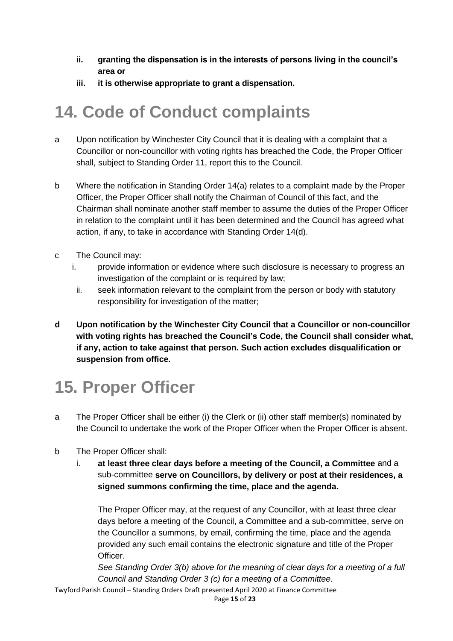- **ii. granting the dispensation is in the interests of persons living in the council's area or**
- **iii. it is otherwise appropriate to grant a dispensation.**

#### **14. Code of Conduct complaints**

- a Upon notification by Winchester City Council that it is dealing with a complaint that a Councillor or non-councillor with voting rights has breached the Code, the Proper Officer shall, subject to Standing Order 11, report this to the Council.
- b Where the notification in Standing Order 14(a) relates to a complaint made by the Proper Officer, the Proper Officer shall notify the Chairman of Council of this fact, and the Chairman shall nominate another staff member to assume the duties of the Proper Officer in relation to the complaint until it has been determined and the Council has agreed what action, if any, to take in accordance with Standing Order 14(d).
- c The Council may:
	- i. provide information or evidence where such disclosure is necessary to progress an investigation of the complaint or is required by law;
	- ii. seek information relevant to the complaint from the person or body with statutory responsibility for investigation of the matter;
- **d Upon notification by the Winchester City Council that a Councillor or non-councillor with voting rights has breached the Council's Code, the Council shall consider what, if any, action to take against that person. Such action excludes disqualification or suspension from office.**

### **15. Proper Officer**

- a The Proper Officer shall be either (i) the Clerk or (ii) other staff member(s) nominated by the Council to undertake the work of the Proper Officer when the Proper Officer is absent.
- b The Proper Officer shall:
	- i. **at least three clear days before a meeting of the Council, a Committee** and a sub-committee **serve on Councillors, by delivery or post at their residences, a signed summons confirming the time, place and the agenda.**

The Proper Officer may, at the request of any Councillor, with at least three clear days before a meeting of the Council, a Committee and a sub-committee, serve on the Councillor a summons, by email, confirming the time, place and the agenda provided any such email contains the electronic signature and title of the Proper Officer.

*See Standing Order 3(b) above for the meaning of clear days for a meeting of a full Council and Standing Order 3 (c) for a meeting of a Committee.*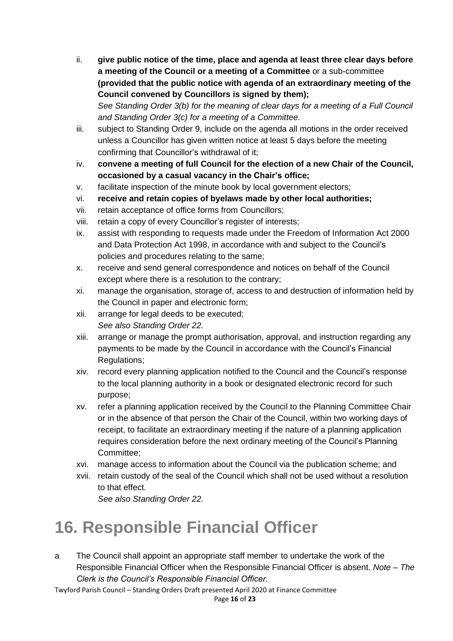- ii. **give public notice of the time, place and agenda at least three clear days before a meeting of the Council or a meeting of a Committee** or a sub-committee **(provided that the public notice with agenda of an extraordinary meeting of the Council convened by Councillors is signed by them);** *See Standing Order 3(b) for the meaning of clear days for a meeting of a Full Council and Standing Order 3(c) for a meeting of a Committee.*
- iii. subject to Standing Order 9, include on the agenda all motions in the order received unless a Councillor has given written notice at least 5 days before the meeting confirming that Councillor's withdrawal of it;
- iv. **convene a meeting of full Council for the election of a new Chair of the Council, occasioned by a casual vacancy in the Chair's office;**
- v. facilitate inspection of the minute book by local government electors;
- vi. **receive and retain copies of byelaws made by other local authorities;**
- vii. retain acceptance of office forms from Councillors;
- viii. retain a copy of every Councillor's register of interests;
- ix. assist with responding to requests made under the Freedom of Information Act 2000 and Data Protection Act 1998, in accordance with and subject to the Council's policies and procedures relating to the same;
- x. receive and send general correspondence and notices on behalf of the Council except where there is a resolution to the contrary;
- xi. manage the organisation, storage of, access to and destruction of information held by the Council in paper and electronic form;
- xii. arrange for legal deeds to be executed; *See also Standing Order 22.*
- xiii. arrange or manage the prompt authorisation, approval, and instruction regarding any payments to be made by the Council in accordance with the Council's Financial Regulations;
- xiv. record every planning application notified to the Council and the Council's response to the local planning authority in a book or designated electronic record for such purpose;
- xv. refer a planning application received by the Council to the Planning Committee Chair or in the absence of that person the Chair of the Council, within two working days of receipt, to facilitate an extraordinary meeting if the nature of a planning application requires consideration before the next ordinary meeting of the Council's Planning Committee;
- xvi. manage access to information about the Council via the publication scheme; and
- xvii. retain custody of the seal of the Council which shall not be used without a resolution to that effect. *See also Standing Order 22.*

# **16. Responsible Financial Officer**

a The Council shall appoint an appropriate staff member to undertake the work of the Responsible Financial Officer when the Responsible Financial Officer is absent. *Note – The Clerk is the Council's Responsible Financial Officer.*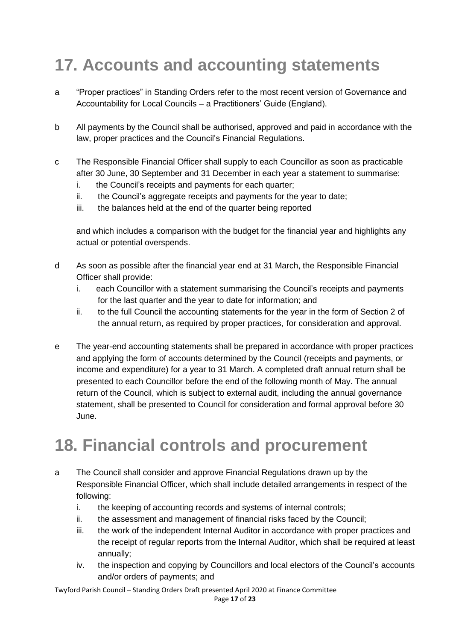# **17. Accounts and accounting statements**

- a "Proper practices" in Standing Orders refer to the most recent version of Governance and Accountability for Local Councils – a Practitioners' Guide (England).
- b All payments by the Council shall be authorised, approved and paid in accordance with the law, proper practices and the Council's Financial Regulations.
- c The Responsible Financial Officer shall supply to each Councillor as soon as practicable after 30 June, 30 September and 31 December in each year a statement to summarise:
	- i. the Council's receipts and payments for each quarter;
	- ii. the Council's aggregate receipts and payments for the year to date;
	- iii. the balances held at the end of the quarter being reported

and which includes a comparison with the budget for the financial year and highlights any actual or potential overspends.

- d As soon as possible after the financial year end at 31 March, the Responsible Financial Officer shall provide:
	- i. each Councillor with a statement summarising the Council's receipts and payments for the last quarter and the year to date for information; and
	- ii. to the full Council the accounting statements for the year in the form of Section 2 of the annual return, as required by proper practices, for consideration and approval.
- e The year-end accounting statements shall be prepared in accordance with proper practices and applying the form of accounts determined by the Council (receipts and payments, or income and expenditure) for a year to 31 March. A completed draft annual return shall be presented to each Councillor before the end of the following month of May. The annual return of the Council, which is subject to external audit, including the annual governance statement, shall be presented to Council for consideration and formal approval before 30 June.

### **18. Financial controls and procurement**

- a The Council shall consider and approve Financial Regulations drawn up by the Responsible Financial Officer, which shall include detailed arrangements in respect of the following:
	- i. the keeping of accounting records and systems of internal controls;
	- ii. the assessment and management of financial risks faced by the Council;
	- iii. the work of the independent Internal Auditor in accordance with proper practices and the receipt of regular reports from the Internal Auditor, which shall be required at least annually;
	- iv. the inspection and copying by Councillors and local electors of the Council's accounts and/or orders of payments; and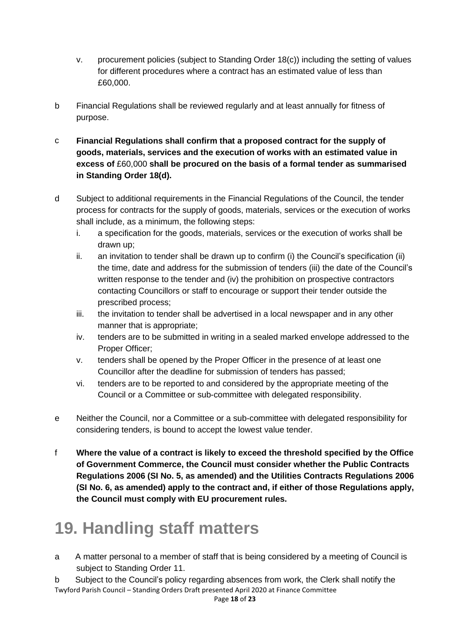- v. procurement policies (subject to Standing Order 18(c)) including the setting of values for different procedures where a contract has an estimated value of less than £60,000.
- b Financial Regulations shall be reviewed regularly and at least annually for fitness of purpose.
- c **Financial Regulations shall confirm that a proposed contract for the supply of goods, materials, services and the execution of works with an estimated value in excess of** £60,000 **shall be procured on the basis of a formal tender as summarised in Standing Order 18(d).**
- d Subject to additional requirements in the Financial Regulations of the Council, the tender process for contracts for the supply of goods, materials, services or the execution of works shall include, as a minimum, the following steps:
	- i. a specification for the goods, materials, services or the execution of works shall be drawn up;
	- ii. an invitation to tender shall be drawn up to confirm (i) the Council's specification (ii) the time, date and address for the submission of tenders (iii) the date of the Council's written response to the tender and (iv) the prohibition on prospective contractors contacting Councillors or staff to encourage or support their tender outside the prescribed process;
	- iii. the invitation to tender shall be advertised in a local newspaper and in any other manner that is appropriate;
	- iv. tenders are to be submitted in writing in a sealed marked envelope addressed to the Proper Officer;
	- v. tenders shall be opened by the Proper Officer in the presence of at least one Councillor after the deadline for submission of tenders has passed;
	- vi. tenders are to be reported to and considered by the appropriate meeting of the Council or a Committee or sub-committee with delegated responsibility.
- e Neither the Council, nor a Committee or a sub-committee with delegated responsibility for considering tenders, is bound to accept the lowest value tender.
- f **Where the value of a contract is likely to exceed the threshold specified by the Office of Government Commerce, the Council must consider whether the Public Contracts Regulations 2006 (SI No. 5, as amended) and the Utilities Contracts Regulations 2006 (SI No. 6, as amended) apply to the contract and, if either of those Regulations apply, the Council must comply with EU procurement rules.**

# **19. Handling staff matters**

a A matter personal to a member of staff that is being considered by a meeting of Council is subject to Standing Order 11.

Twyford Parish Council – Standing Orders Draft presented April 2020 at Finance Committee b Subject to the Council's policy regarding absences from work, the Clerk shall notify the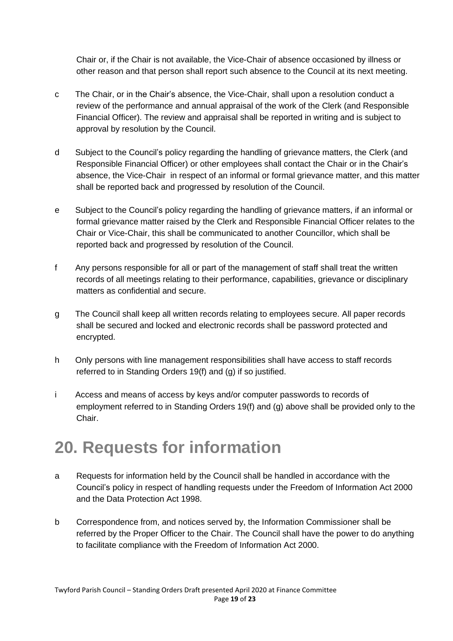Chair or, if the Chair is not available, the Vice-Chair of absence occasioned by illness or other reason and that person shall report such absence to the Council at its next meeting.

- c The Chair, or in the Chair's absence, the Vice-Chair, shall upon a resolution conduct a review of the performance and annual appraisal of the work of the Clerk (and Responsible Financial Officer). The review and appraisal shall be reported in writing and is subject to approval by resolution by the Council.
- d Subject to the Council's policy regarding the handling of grievance matters, the Clerk (and Responsible Financial Officer) or other employees shall contact the Chair or in the Chair's absence, the Vice-Chair in respect of an informal or formal grievance matter, and this matter shall be reported back and progressed by resolution of the Council.
- e Subject to the Council's policy regarding the handling of grievance matters, if an informal or formal grievance matter raised by the Clerk and Responsible Financial Officer relates to the Chair or Vice-Chair, this shall be communicated to another Councillor, which shall be reported back and progressed by resolution of the Council.
- f Any persons responsible for all or part of the management of staff shall treat the written records of all meetings relating to their performance, capabilities, grievance or disciplinary matters as confidential and secure.
- g The Council shall keep all written records relating to employees secure. All paper records shall be secured and locked and electronic records shall be password protected and encrypted.
- h Only persons with line management responsibilities shall have access to staff records referred to in Standing Orders 19(f) and (g) if so justified.
- i Access and means of access by keys and/or computer passwords to records of employment referred to in Standing Orders 19(f) and (g) above shall be provided only to the Chair.

## **20. Requests for information**

- a Requests for information held by the Council shall be handled in accordance with the Council's policy in respect of handling requests under the Freedom of Information Act 2000 and the Data Protection Act 1998.
- b Correspondence from, and notices served by, the Information Commissioner shall be referred by the Proper Officer to the Chair. The Council shall have the power to do anything to facilitate compliance with the Freedom of Information Act 2000.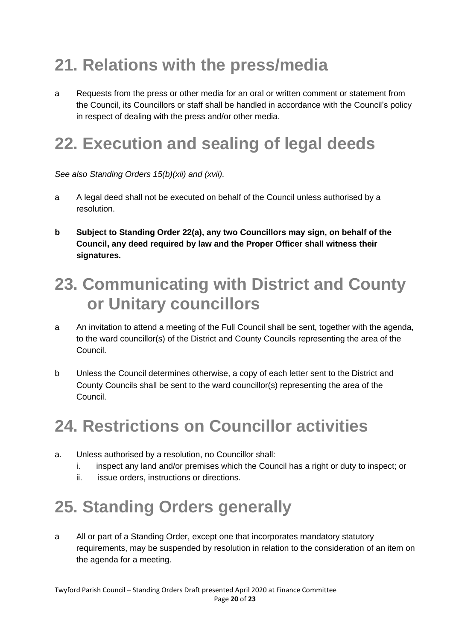# **21. Relations with the press/media**

a Requests from the press or other media for an oral or written comment or statement from the Council, its Councillors or staff shall be handled in accordance with the Council's policy in respect of dealing with the press and/or other media.

# **22. Execution and sealing of legal deeds**

*See also Standing Orders 15(b)(xii) and (xvii).*

- a A legal deed shall not be executed on behalf of the Council unless authorised by a resolution.
- **b Subject to Standing Order 22(a), any two Councillors may sign, on behalf of the Council, any deed required by law and the Proper Officer shall witness their signatures.**

### **23. Communicating with District and County or Unitary councillors**

- a An invitation to attend a meeting of the Full Council shall be sent, together with the agenda, to the ward councillor(s) of the District and County Councils representing the area of the Council.
- b Unless the Council determines otherwise, a copy of each letter sent to the District and County Councils shall be sent to the ward councillor(s) representing the area of the Council.

### **24. Restrictions on Councillor activities**

- a. Unless authorised by a resolution, no Councillor shall:
	- i. inspect any land and/or premises which the Council has a right or duty to inspect; or
	- ii. issue orders, instructions or directions.

# **25. Standing Orders generally**

a All or part of a Standing Order, except one that incorporates mandatory statutory requirements, may be suspended by resolution in relation to the consideration of an item on the agenda for a meeting.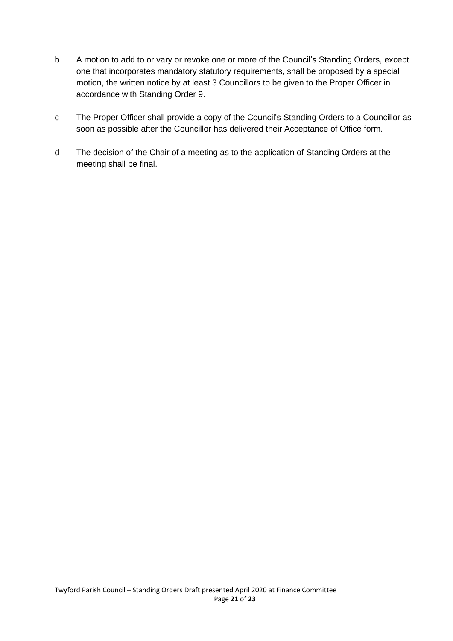- b A motion to add to or vary or revoke one or more of the Council's Standing Orders, except one that incorporates mandatory statutory requirements, shall be proposed by a special motion, the written notice by at least 3 Councillors to be given to the Proper Officer in accordance with Standing Order 9.
- c The Proper Officer shall provide a copy of the Council's Standing Orders to a Councillor as soon as possible after the Councillor has delivered their Acceptance of Office form.
- d The decision of the Chair of a meeting as to the application of Standing Orders at the meeting shall be final.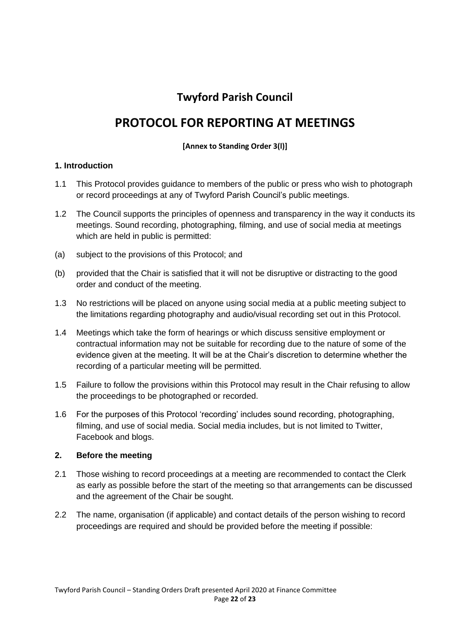#### **Twyford Parish Council**

#### **PROTOCOL FOR REPORTING AT MEETINGS**

#### **[Annex to Standing Order 3(l)]**

#### **1. Introduction**

- 1.1 This Protocol provides guidance to members of the public or press who wish to photograph or record proceedings at any of Twyford Parish Council's public meetings.
- 1.2 The Council supports the principles of openness and transparency in the way it conducts its meetings. Sound recording, photographing, filming, and use of social media at meetings which are held in public is permitted:
- (a) subject to the provisions of this Protocol; and
- (b) provided that the Chair is satisfied that it will not be disruptive or distracting to the good order and conduct of the meeting.
- 1.3 No restrictions will be placed on anyone using social media at a public meeting subject to the limitations regarding photography and audio/visual recording set out in this Protocol.
- 1.4 Meetings which take the form of hearings or which discuss sensitive employment or contractual information may not be suitable for recording due to the nature of some of the evidence given at the meeting. It will be at the Chair's discretion to determine whether the recording of a particular meeting will be permitted.
- 1.5 Failure to follow the provisions within this Protocol may result in the Chair refusing to allow the proceedings to be photographed or recorded.
- 1.6 For the purposes of this Protocol 'recording' includes sound recording, photographing, filming, and use of social media. Social media includes, but is not limited to Twitter, Facebook and blogs.

#### **2. Before the meeting**

- 2.1 Those wishing to record proceedings at a meeting are recommended to contact the Clerk as early as possible before the start of the meeting so that arrangements can be discussed and the agreement of the Chair be sought.
- 2.2 The name, organisation (if applicable) and contact details of the person wishing to record proceedings are required and should be provided before the meeting if possible: